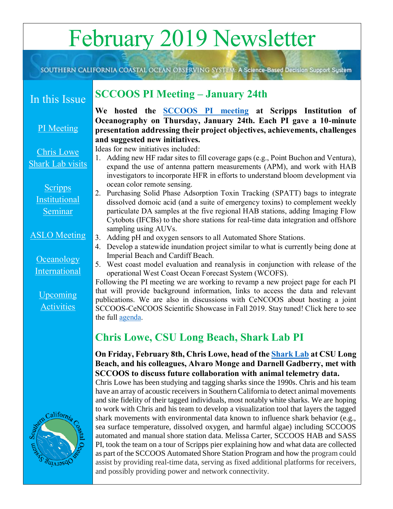# February 2019 Newsletter

SOUTHERN CALIFORNIA COASTAL OCEAN OBSERVING SYSTEM: A Science-Based Decision Support System

## In this Issue

#### [PI Meeting](#page-0-0)

#### [Chris Lowe](#page-0-1)  [Shark Lab visits](#page-0-1)

**Scripps** [Institutional](#page-1-0)  [Seminar](#page-1-0)

#### [ASLO Meeting](#page-2-0)

#### **Oceanology** [International](#page-2-1)

[Upcoming](#page-2-2)  **[Activities](#page-2-2)** 



## <span id="page-0-0"></span>**SCCOOS PI Meeting – January 24th**

**We hosted the [SCCOOS PI meeting](http://sccoos.org/wp-content/uploads/2019/01/SCCOOS_PI_Agenda_2019_01_24.pdf) at Scripps Institution of Oceanography on Thursday, January 24th. Each PI gave a 10-minute presentation addressing their project objectives, achievements, challenges and suggested new initiatives.** 

Ideas for new initiatives included:

- 1. Adding new HF radar sites to fill coverage gaps (e.g., Point Buchon and Ventura), expand the use of antenna pattern measurements (APM), and work with HAB investigators to incorporate HFR in efforts to understand bloom development via ocean color remote sensing.
- 2. Purchasing Solid Phase Adsorption Toxin Tracking (SPATT) bags to integrate dissolved domoic acid (and a suite of emergency toxins) to complement weekly particulate DA samples at the five regional HAB stations, adding Imaging Flow Cytobots (IFCBs) to the shore stations for real-time data integration and offshore sampling using AUVs.
- 3. Adding pH and oxygen sensors to all Automated Shore Stations.
- 4. Develop a statewide inundation project similar to what is currently being done at Imperial Beach and Cardiff Beach.
- 5. West coast model evaluation and reanalysis in conjunction with release of the operational West Coast Ocean Forecast System (WCOFS).

Following the PI meeting we are working to revamp a new project page for each PI that will provide background information, links to access the data and relevant publications. We are also in discussions with CeNCOOS about hosting a joint SCCOOS-CeNCOOS Scientific Showcase in Fall 2019. Stay tuned! Click here to see the full **agenda**.

## <span id="page-0-1"></span>**Chris Lowe, CSU Long Beach, Shark Lab PI**

#### **On Friday, February 8th, Chris Lowe, head of the [Shark Lab](https://www.csulb.edu/shark-lab) at CSU Long Beach, and his colleagues, Alvaro Monge and Darnell Gadberry, met with SCCOOS to discuss future collaboration with animal telemetry data.**

Chris Lowe has been studying and tagging sharks since the 1990s. Chris and his team have an array of acoustic receivers in Southern California to detect animal movements and site fidelity of their tagged individuals, most notably white sharks. We are hoping to work with Chris and his team to develop a visualization tool that layers the tagged shark movements with environmental data known to influence shark behavior (e.g., sea surface temperature, dissolved oxygen, and harmful algae) including SCCOOS automated and manual shore station data. Melissa Carter, SCCOOS HAB and SASS PI, took the team on a tour of Scripps pier explaining how and what data are collected as part of the SCCOOS Automated Shore Station Program and how the program could assist by providing real-time data, serving as fixed additional platforms for receivers, and possibly providing power and network connectivity.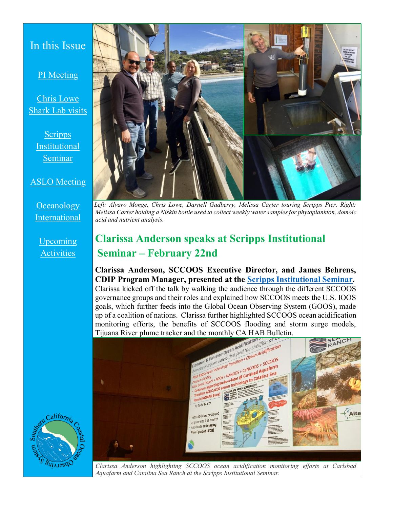### In this Issue

#### [PI Meeting](#page-0-0)

[Chris Lowe](#page-0-1)  [Shark Lab visits](#page-0-1)

**Scripps** [Institutional](#page-1-0)  [Seminar](#page-1-0)

#### [ASLO Meeting](#page-2-0)

**Oceanology** [International](#page-2-1)

[Upcoming](#page-2-2)  **[Activities](#page-2-2)** 



*Left: Alvaro Monge, Chris Lowe, Darnell Gadberry, Melissa Carter touring Scripps Pier. Right: Melissa Carter holding a Niskin bottle used to collect weekly water samples for phytoplankton, domoic acid and nutrient analysis.* 

## <span id="page-1-0"></span>**Clarissa Anderson speaks at Scripps Institutional Seminar – February 22nd**

**Clarissa Anderson, SCCOOS Executive Director, and James Behrens, CDIP Program Manager, presented at the Scripps [Institutional Seminar.](https://scripps.ucsd.edu/events/2019/institutional-seminar)**  Clarissa kicked off the talk by walking the audience through the different SCCOOS governance groups and their roles and explained how SCCOOS meets the U.S. IOOS goals, which further feeds into the Global Ocean Observing System (GOOS), made up of a coalition of nations. Clarissa further highlighted SCCOOS ocean acidification monitoring efforts, the benefits of SCCOOS flooding and storm surge models,





*Clarissa Anderson highlighting SCCOOS ocean acidification monitoring efforts at Carlsbad Aquafarm and Catalina Sea Ranch at the Scripps Institutional Seminar.*